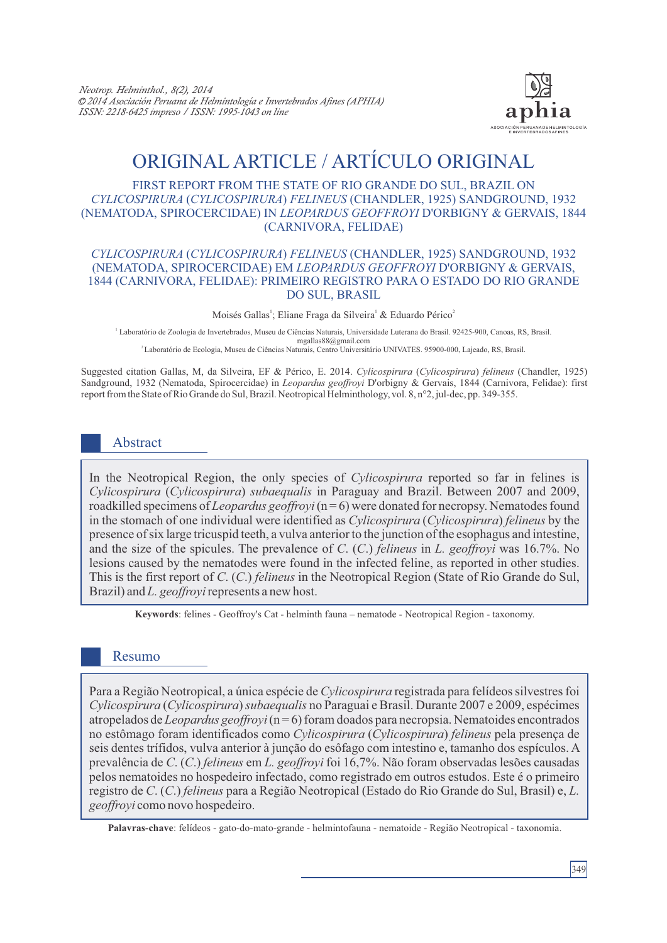

# ORIGINAL ARTICLE / ARTÍCULO ORIGINAL

#### FIRST REPORT FROM THE STATE OF RIO GRANDE DO SUL, BRAZIL ON *CYLICOSPIRURA* (*CYLICOSPIRURA*) *FELINEUS* (CHANDLER, 1925) SANDGROUND, 1932 (NEMATODA, SPIROCERCIDAE) IN *LEOPARDUS GEOFFROYI* D'ORBIGNY & GERVAIS, 1844 (CARNIVORA, FELIDAE)

#### *CYLICOSPIRURA* (*CYLICOSPIRURA*) *FELINEUS* (CHANDLER, 1925) SANDGROUND, 1932 (NEMATODA, SPIROCERCIDAE) EM *LEOPARDUS GEOFFROYI* D'ORBIGNY & GERVAIS, 1844 (CARNIVORA, FELIDAE): PRIMEIRO REGISTRO PARA O ESTADO DO RIO GRANDE DO SUL, BRASIL

Moisés Gallas<sup>1</sup>; Eliane Fraga da Silveira<sup>1</sup> & Eduardo Périco<sup>2</sup>

1 Laboratório de Zoologia de Invertebrados, Museu de Ciências Naturais, Universidade Luterana do Brasil. 92425-900, Canoas, RS, Brasil. mgallas88@gmail.com

<sup>2</sup>Laboratório de Ecologia, Museu de Ciências Naturais, Centro Universitário UNIVATES. 95900-000, Lajeado, RS, Brasil.

Suggested citation Gallas, M, da Silveira, EF & Périco, E. 2014. *Cylicospirura* (*Cylicospirura*) *felineus* (Chandler, 1925) Sandground, 1932 (Nematoda, Spirocercidae) in *Leopardus geoffroyi* D'orbigny & Gervais, 1844 (Carnivora, Felidae): first report from the State of Rio Grande do Sul, Brazil. Neotropical Helminthology, vol. 8, n°2, jul-dec, pp. 349-355.

# Abstract

In the Neotropical Region, the only species of *Cylicospirura* reported so far in felines is *Cylicospirura* (*Cylicospirura*) *subaequalis* in Paraguay and Brazil. Between 2007 and 2009, roadkilled specimens of *Leopardus geoffroyi* (n = 6) were donated for necropsy. Nematodes found in the stomach of one individual were identified as *Cylicospirura* (*Cylicospirura*) *felineus* by the presence of six large tricuspid teeth, a vulva anterior to the junction of the esophagus and intestine, and the size of the spicules. The prevalence of *C*. (*C*.) *felineus* in *L. geoffroyi* was 16.7%. No lesions caused by the nematodes were found in the infected feline, as reported in other studies. This is the first report of *C*. (*C*.) *felineus* in the Neotropical Region (State of Rio Grande do Sul, Brazil) and *L. geoffroyi*represents a new host.

**Keywords**: felines - Geoffroy's Cat - helminth fauna – nematode - Neotropical Region - taxonomy.

## Resumo

Para a Região Neotropical, a única espécie de *Cylicospirura* registrada para felídeos silvestres foi *Cylicospirura* (*Cylicospirura*) *subaequalis* no Paraguai e Brasil. Durante 2007 e 2009, espécimes atropelados de *Leopardus geoffroyi*(n = 6) foram doados para necropsia. Nematoides encontrados no estômago foram identificados como *Cylicospirura* (*Cylicospirura*) *felineus* pela presença de seis dentes trífidos, vulva anterior à junção do esôfago com intestino e, tamanho dos espículos. A prevalência de *C*. (*C*.) *felineus* em *L. geoffroyi* foi 16,7%. Não foram observadas lesões causadas pelos nematoides no hospedeiro infectado, como registrado em outros estudos. Este é o primeiro registro de *C*. (*C*.) *felineus* para a Região Neotropical (Estado do Rio Grande do Sul, Brasil) e, *L. geoffroyi* como novo hospedeiro.

**Palavras-chave**: felídeos - gato-do-mato-grande - helmintofauna - nematoide - Região Neotropical - taxonomia.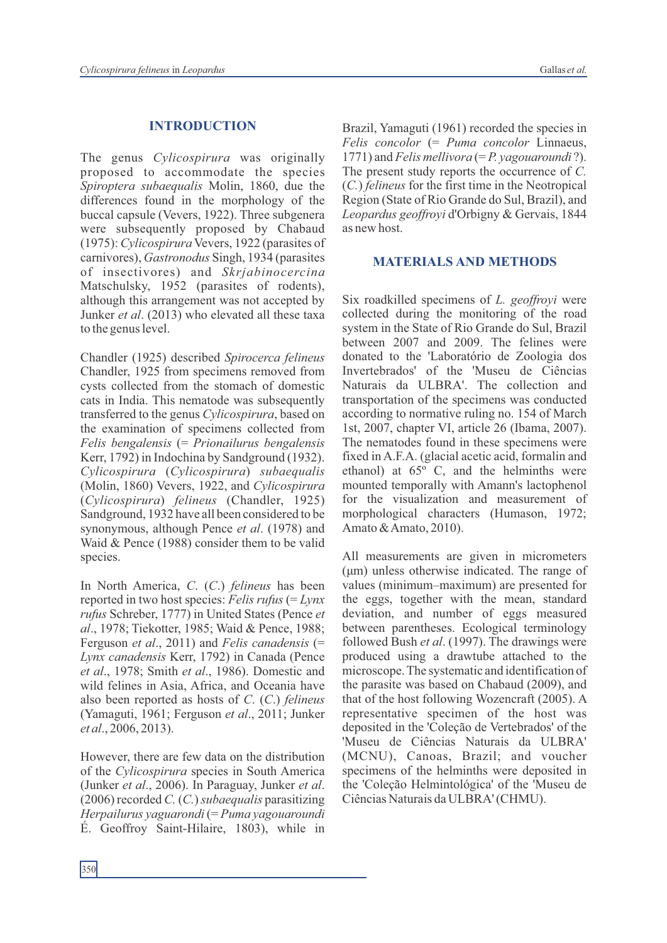### **INTRODUCTION**

The genus *Cylicospirura* was originally proposed to accommodate the species *Spiroptera subaequalis* Molin, 1860, due the differences found in the morphology of the buccal capsule (Vevers, 1922). Three subgenera were subsequently proposed by Chabaud (1975): *Cylicospirura* Vevers, 1922 (parasites of carnivores), *Gastronodus* Singh, 1934 (parasites of insectivores) and *Skrjabinocercina* Matschulsky, 1952 (parasites of rodents), although this arrangement was not accepted by Junker *et al*. (2013) who elevated all these taxa to the genus level.

Chandler (1925) described *Spirocerca felineus* Chandler, 1925 from specimens removed from cysts collected from the stomach of domestic cats in India. This nematode was subsequently transferred to the genus *Cylicospirura*, based on the examination of specimens collected from *Felis bengalensis* (= *Prionailurus bengalensis*  Kerr, 1792) in Indochina by Sandground (1932). *Cylicospirura* (*Cylicospirura*) *subaequalis* (Molin, 1860) Vevers, 1922, and *Cylicospirura* (*Cylicospirura*) *felineus* (Chandler, 1925) Sandground, 1932 have all been considered to be synonymous, although Pence *et al*. (1978) and Waid & Pence (1988) consider them to be valid species.

In North America, *C*. (*C*.) *felineus* has been reported in two host species: *Felis rufus* (= *Lynx rufus* Schreber, 1777) in United States (Pence *et al*., 1978; Tiekotter, 1985; Waid & Pence, 1988; Ferguson *et al*., 2011) and *Felis canadensis* (= *Lynx canadensis* Kerr, 1792) in Canada (Pence *et al*., 1978; Smith *et al*., 1986). Domestic and wild felines in Asia, Africa, and Oceania have also been reported as hosts of *C*. (*C*.) *felineus* (Yamaguti, 1961; Ferguson *et al*., 2011; Junker *et al*., 2006, 2013).

However, there are few data on the distribution of the *Cylicospirura* species in South America (Junker *et al*., 2006). In Paraguay, Junker *et al*. (2006) recorded *C.* (*C.*) *subaequalis* parasitizing *Herpailurus yaguarondi* (= *Puma yagouaroundi* É. Geoffroy Saint-Hilaire, 1803), while in Brazil, Yamaguti (1961) recorded the species in *Felis concolor* (= *Puma concolor* Linnaeus, 1771) and *Felis mellivora* (= *P. yagouaroundi* ?). The present study reports the occurrence of *C.* (*C.*) *felineus* for the first time in the Neotropical Region (State of Rio Grande do Sul, Brazil), and *Leopardus geoffroyi* d'Orbigny & Gervais, 1844 as new host.

#### **MATERIALS AND METHODS**

Six roadkilled specimens of *L. geoffroyi* were collected during the monitoring of the road system in the State of Rio Grande do Sul, Brazil between 2007 and 2009. The felines were donated to the 'Laboratório de Zoologia dos Invertebrados' of the 'Museu de Ciências Naturais da ULBRA'. The collection and transportation of the specimens was conducted according to normative ruling no. 154 of March 1st, 2007, chapter VI, article 26 (Ibama, 2007). The nematodes found in these specimens were fixed in A.F.A. (glacial acetic acid, formalin and ethanol) at 65º C, and the helminths were mounted temporally with Amann's lactophenol for the visualization and measurement of morphological characters (Humason, 1972; Amato & Amato, 2010).

All measurements are given in micrometers (μm) unless otherwise indicated. The range of values (minimum–maximum) are presented for the eggs, together with the mean, standard deviation, and number of eggs measured between parentheses. Ecological terminology followed Bush *et al*. (1997). The drawings were produced using a drawtube attached to the microscope. The systematic and identification of the parasite was based on Chabaud (2009), and that of the host following Wozencraft (2005). A representative specimen of the host was deposited in the 'Coleção de Vertebrados' of the 'Museu de Ciências Naturais da ULBRA' (MCNU), Canoas, Brazil; and voucher specimens of the helminths were deposited in the 'Coleção Helmintológica' of the 'Museu de Ciências Naturais da ULBRA' (CHMU).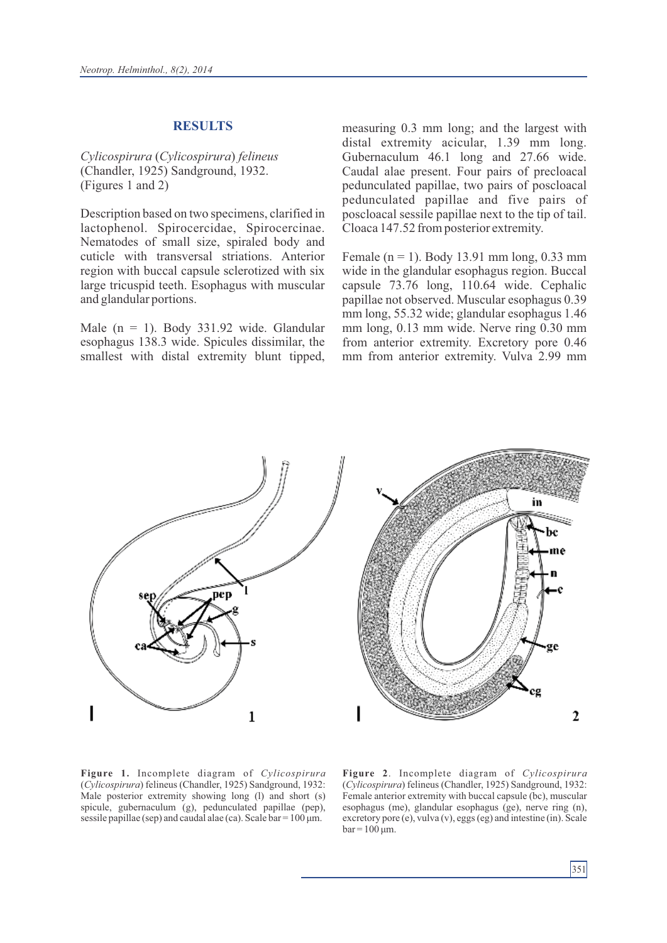#### **RESULTS**

*Cylicospirura* (*Cylicospirura*) *felineus* (Chandler, 1925) Sandground, 1932. (Figures 1 and 2)

Description based on two specimens, clarified in lactophenol. Spirocercidae, Spirocercinae. Nematodes of small size, spiraled body and cuticle with transversal striations. Anterior region with buccal capsule sclerotized with six large tricuspid teeth. Esophagus with muscular and glandular portions.

Male ( $n = 1$ ). Body 331.92 wide. Glandular esophagus 138.3 wide. Spicules dissimilar, the smallest with distal extremity blunt tipped, measuring 0.3 mm long; and the largest with distal extremity acicular, 1.39 mm long. Gubernaculum 46.1 long and 27.66 wide. Caudal alae present. Four pairs of precloacal pedunculated papillae, two pairs of poscloacal pedunculated papillae and five pairs of poscloacal sessile papillae next to the tip of tail. Cloaca 147.52 from posterior extremity.

Female ( $n = 1$ ). Body 13.91 mm long, 0.33 mm wide in the glandular esophagus region. Buccal capsule 73.76 long, 110.64 wide. Cephalic papillae not observed. Muscular esophagus 0.39 mm long, 55.32 wide; glandular esophagus 1.46 mm long, 0.13 mm wide. Nerve ring 0.30 mm from anterior extremity. Excretory pore 0.46 mm from anterior extremity. Vulva 2.99 mm



**Figure 1.** Incomplete diagram of *Cylicospirura* (*Cylicospirura*) felineus (Chandler, 1925) Sandground, 1932: Male posterior extremity showing long (l) and short (s) spicule, gubernaculum (g), pedunculated papillae (pep), sessile papillae (sep) and caudal alae (ca). Scale  $bar = 100 \mu m$ .

**Figure 2**. Incomplete diagram of *Cylicospirura* (*Cylicospirura*) felineus (Chandler, 1925) Sandground, 1932: Female anterior extremity with buccal capsule (bc), muscular esophagus (me), glandular esophagus (ge), nerve ring (n), excretory pore (e), vulva (v), eggs (eg) and intestine (in). Scale  $bar = 100 \mu m$ .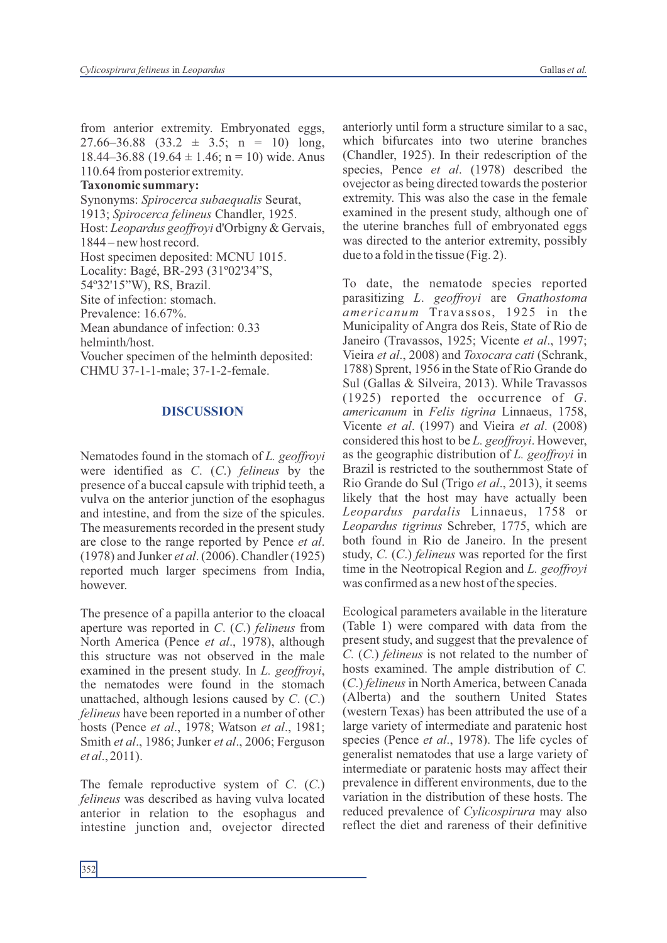from anterior extremity. Embryonated eggs,  $27.66 - 36.88$   $(33.2 \pm 3.5; n = 10)$  long, 18.44–36.88 (19.64  $\pm$  1.46; n = 10) wide. Anus 110.64 from posterior extremity.

#### **Taxonomic summary:**

Synonyms: *Spirocerca subaequalis* Seurat, 1913; *Spirocerca felineus* Chandler, 1925. Host: *Leopardus geoffroyi* d'Orbigny & Gervais, 1844 – new host record. Host specimen deposited: MCNU 1015. Locality: Bagé, BR-293 (31º02'34"S, 54º32'15"W), RS, Brazil. Site of infection: stomach. Prevalence: 16.67%. Mean abundance of infection: 0.33 helminth/host. Voucher specimen of the helminth deposited: CHMU 37-1-1-male; 37-1-2-female.

#### **DISCUSSION**

Nematodes found in the stomach of *L. geoffroyi* were identified as *C*. (*C*.) *felineus* by the presence of a buccal capsule with triphid teeth, a vulva on the anterior junction of the esophagus and intestine, and from the size of the spicules. The measurements recorded in the present study are close to the range reported by Pence *et al*. (1978) and Junker *et al*. (2006). Chandler (1925) reported much larger specimens from India, however.

The presence of a papilla anterior to the cloacal aperture was reported in *C*. (*C*.) *felineus* from North America (Pence *et al*., 1978), although this structure was not observed in the male examined in the present study. In *L. geoffroyi*, the nematodes were found in the stomach unattached, although lesions caused by *C*. (*C*.) *felineus* have been reported in a number of other hosts (Pence *et al*., 1978; Watson *et al*., 1981; Smith *et al*., 1986; Junker *et al*., 2006; Ferguson *et al*., 2011).

The female reproductive system of *C*. (*C*.) *felineus* was described as having vulva located anterior in relation to the esophagus and intestine junction and, ovejector directed anteriorly until form a structure similar to a sac, which bifurcates into two uterine branches (Chandler, 1925). In their redescription of the species, Pence *et al*. (1978) described the ovejector as being directed towards the posterior extremity. This was also the case in the female examined in the present study, although one of the uterine branches full of embryonated eggs was directed to the anterior extremity, possibly due to a fold in the tissue (Fig. 2).

To date, the nematode species reported parasitizing *L*. *geoffroyi* are *Gnathostoma americanum* Travassos, 1925 in the Municipality of Angra dos Reis, State of Rio de Janeiro (Travassos, 1925; Vicente *et al*., 1997; Vieira *et al*., 2008) and *Toxocara cati* (Schrank, 1788) Sprent, 1956 in the State of Rio Grande do Sul (Gallas & Silveira, 2013). While Travassos (1925) reported the occurrence of *G*. *americanum* in *Felis tigrina* Linnaeus, 1758, Vicente *et al*. (1997) and Vieira *et al*. (2008) considered this host to be *L. geoffroyi*. However, as the geographic distribution of *L. geoffroyi* in Brazil is restricted to the southernmost State of Rio Grande do Sul (Trigo *et al*., 2013), it seems likely that the host may have actually been *Leopardus pardalis* Linnaeus, 1758 or *Leopardus tigrinus* Schreber, 1775, which are both found in Rio de Janeiro. In the present study, *C.* (*C*.) *felineus* was reported for the first time in the Neotropical Region and *L. geoffroyi* was confirmed as a new host of the species.

Ecological parameters available in the literature (Table 1) were compared with data from the present study, and suggest that the prevalence of *C.* (*C*.) *felineus* is not related to the number of hosts examined. The ample distribution of *C.*  (*C*.) *felineus* in North America, between Canada (Alberta) and the southern United States (western Texas) has been attributed the use of a large variety of intermediate and paratenic host species (Pence *et al*., 1978). The life cycles of generalist nematodes that use a large variety of intermediate or paratenic hosts may affect their prevalence in different environments, due to the variation in the distribution of these hosts. The reduced prevalence of *Cylicospirura* may also reflect the diet and rareness of their definitive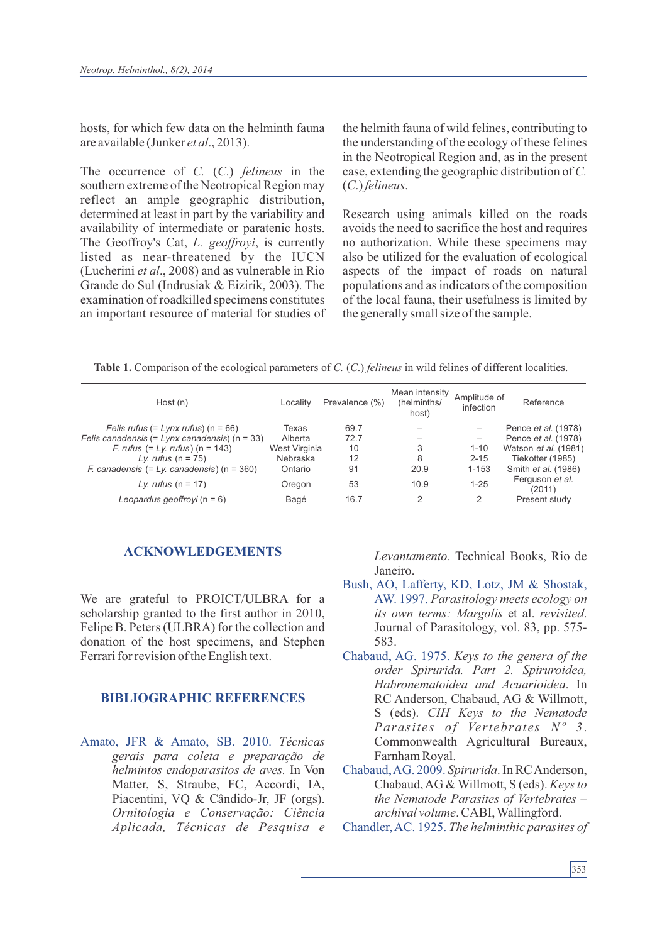hosts, for which few data on the helminth fauna are available (Junker *et al*., 2013).

The occurrence of *C.* (*C*.) *felineus* in the southern extreme of the Neotropical Region may reflect an ample geographic distribution, determined at least in part by the variability and availability of intermediate or paratenic hosts. The Geoffroy's Cat, *L. geoffroyi*, is currently listed as near-threatened by the IUCN (Lucherini *et al*., 2008) and as vulnerable in Rio Grande do Sul (Indrusiak & Eizirik, 2003). The examination of roadkilled specimens constitutes an important resource of material for studies of the helmith fauna of wild felines, contributing to the understanding of the ecology of these felines in the Neotropical Region and, as in the present case, extending the geographic distribution of *C.*  (*C*.) *felineus*.

Research using animals killed on the roads avoids the need to sacrifice the host and requires no authorization. While these specimens may also be utilized for the evaluation of ecological aspects of the impact of roads on natural populations and as indicators of the composition of the local fauna, their usefulness is limited by the generally small size of the sample.

**Table 1.** Comparison of the ecological parameters of *C.* (*C*.) *felineus* in wild felines of different localities.

| Host (n)                                                               | Localitv      | Prevalence (%) | Mean intensity<br>(helminths/<br>host) | Amplitude of<br>infection | Reference                  |
|------------------------------------------------------------------------|---------------|----------------|----------------------------------------|---------------------------|----------------------------|
| Felis rufus (= $Lynx$ rufus) (n = 66)                                  | Texas         | 69.7           |                                        |                           | Pence <i>et al.</i> (1978) |
| Felis canadensis $(= Lynx$ canadensis) $(n = 33)$                      | Alberta       | 72.7           |                                        |                           | Pence et al. (1978)        |
| $F.$ rufus (= Ly. rufus) (n = 143)                                     | West Virginia | 10             | 3                                      | $1 - 10$                  | Watson et al. (1981)       |
| Ly. rufus $(n = 75)$                                                   | Nebraska      | 12             | 8                                      | $2 - 15$                  | Tiekotter (1985)           |
| <i>F. canadensis <math>(= Ly. \text{ canadensis})</math> (n = 360)</i> | Ontario       | 91             | 20.9                                   | $1 - 153$                 | Smith et al. (1986)        |
| Ly. rufus $(n = 17)$                                                   | Oregon        | 53             | 10.9                                   | $1 - 25$                  | Ferguson et al.<br>(2011)  |
| Leopardus geoffroyi ( $n = 6$ )                                        | Bagé          | 16.7           | 2                                      |                           | Present study              |

#### **ACKNOWLEDGEMENTS**

We are grateful to PROICT/ULBRA for a scholarship granted to the first author in 2010, Felipe B. Peters (ULBRA) for the collection and donation of the host specimens, and Stephen Ferrari for revision of the English text.

## **BIBLIOGRAPHIC REFERENCES**

Amato, JFR & Amato, SB. 2010. *Técnicas gerais para coleta e preparação de helmintos endoparasitos de aves.* In Von Matter, S, Straube, FC, Accordi, IA, Piacentini, VQ & Cândido-Jr, JF (orgs). *Ornitologia e Conservação: Ciência Aplicada, Técnicas de Pesquisa e*

*Levantamento*. Technical Books, Rio de Janeiro.

- Bush, AO, Lafferty, KD, Lotz, JM & Shostak, AW. 1997. *Parasitology meets ecology on its own terms: Margolis* et al. *revisited*. Journal of Parasitology, vol. 83, pp. 575- 583.
- Chabaud, AG. 1975. *Keys to the genera of the order Spirurida. Part 2. Spiruroidea, Habronematoidea and Acuarioidea*. In RC Anderson, Chabaud, AG & Willmott, S (eds). *CIH Keys to the Nematode Parasites of Vertebrates Nº 3*. Commonwealth Agricultural Bureaux, Farnham Royal.
- Chabaud, AG. 2009. *Spirurida*. In RC Anderson, Chabaud, AG & Willmott, S (eds). *Keys to the Nematode Parasites of Vertebrates – archival volume*. CABI, Wallingford.
- Chandler, AC. 1925. *The helminthic parasites of*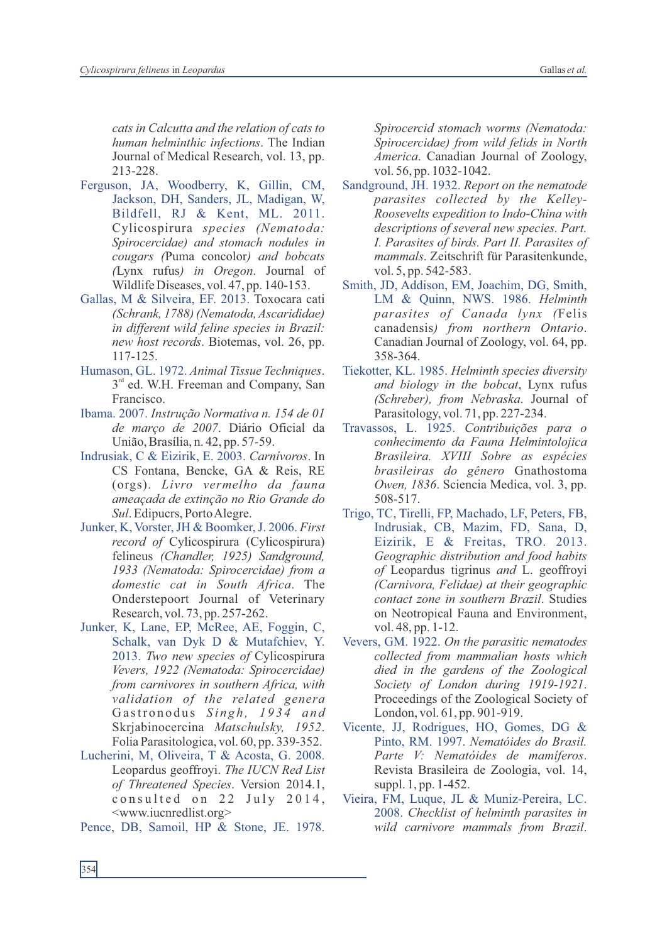*cats in Calcutta and the relation of cats to human helminthic infections*. The Indian Journal of Medical Research, vol. 13, pp. 213-228.

- Ferguson, JA, Woodberry, K, Gillin, CM, Jackson, DH, Sanders, JL, Madigan, W, Bildfell, RJ & Kent, ML. 2011. Cylicospirura *species (Nematoda: Spirocercidae) and stomach nodules in cougars (*Puma concolor*) and bobcats (*Lynx rufus*) in Oregon*. Journal of Wildlife Diseases, vol. 47, pp. 140-153.
- Gallas, M & Silveira, EF. 2013. Toxocara cati *(Schrank, 1788) (Nematoda, Ascarididae) in different wild feline species in Brazil: new host records*. Biotemas, vol. 26, pp. 117-125.
- Humason, GL. 1972. *Animal Tissue Techniques*.  $3<sup>rd</sup>$  ed. W.H. Freeman and Company, San Francisco.
- Ibama. 2007. *Instrução Normativa n. 154 de 01 de março de 2007*. Diário Oficial da União, Brasília, n. 42, pp. 57-59.
- Indrusiak, C & Eizirik, E. 2003. *Carnívoros*. In CS Fontana, Bencke, GA & Reis, RE (orgs). *Livro vermelho da fauna ameaçada de extinção no Rio Grande do Sul*. Edipucrs, Porto Alegre.
- Junker, K, Vorster, JH & Boomker, J. 2006. *First record of* Cylicospirura (Cylicospirura) felineus *(Chandler, 1925) Sandground, 1933 (Nematoda: Spirocercidae) from a domestic cat in South Africa*. The Onderstepoort Journal of Veterinary Research, vol. 73, pp. 257-262.
- Junker, K, Lane, EP, McRee, AE, Foggin, C, Schalk, van Dyk D & Mutafchiev, Y. 2013. *Two new species of* Cylicospirura *Vevers, 1922 (Nematoda: Spirocercidae) from carnivores in southern Africa, with validation of the related genera* Gastronodus Singh, 1934 and Skrjabinocercina *Matschulsky, 1952*. Folia Parasitologica, vol. 60, pp. 339-352.
- Lucherini, M, Oliveira, T & Acosta, G. 2008. Leopardus geoffroyi. *The IUCN Red List of Threatened Species*. Version 2014.1, consulted on 22 July 2014, <www.iucnredlist.org>
- Pence, DB, Samoil, HP & Stone, JE. 1978.

*Spirocercid stomach worms (Nematoda: Spirocercidae) from wild felids in North America*. Canadian Journal of Zoology, vol. 56, pp. 1032-1042.

- Sandground, JH. 1932. *Report on the nematode parasites collected by the Kelley-Roosevelts expedition to Indo-China with descriptions of several new species. Part. I. Parasites of birds. Part II. Parasites of mammals*. Zeitschrift für Parasitenkunde, vol. 5, pp. 542-583.
- Smith, JD, Addison, EM, Joachim, DG, Smith, LM & Quinn, NWS. 1986. *Helminth parasites of Canada lynx (*Felis canadensis*) from northern Ontario*. Canadian Journal of Zoology, vol. 64, pp. 358-364.
- Tiekotter, KL. 1985. *Helminth species diversity and biology in the bobcat*, Lynx rufus *(Schreber), from Nebraska*. Journal of Parasitology, vol. 71, pp. 227-234.
- Travassos, L. 1925. *Contribuições para o conhecimento da Fauna Helmintolojica Brasileira. XVIII Sobre as espécies brasileiras do gênero* Gnathostoma *Owen, 1836*. Sciencia Medica, vol. 3, pp. 508-517.
- Trigo, TC, Tirelli, FP, Machado, LF, Peters, FB, Indrusiak, CB, Mazim, FD, Sana, D, Eizirik, E & Freitas, TRO. 2013. *Geographic distribution and food habits of* Leopardus tigrinus *and* L. geoffroyi *(Carnivora, Felidae) at their geographic contact zone in southern Brazil*. Studies on Neotropical Fauna and Environment, vol. 48, pp. 1-12.
- Vevers, GM. 1922. *On the parasitic nematodes collected from mammalian hosts which died in the gardens of the Zoological Society of London during 1919-1921*. Proceedings of the Zoological Society of London, vol. 61, pp. 901-919.
- Vicente, JJ, Rodrigues, HO, Gomes, DG & Pinto, RM. 1997. *Nematóides do Brasil. Parte V: Nematóides de mamíferos*. Revista Brasileira de Zoologia, vol. 14, suppl. 1, pp. 1-452.
- Vieira, FM, Luque, JL & Muniz-Pereira, LC. 2008. *Checklist of helminth parasites in wild carnivore mammals from Brazil*.